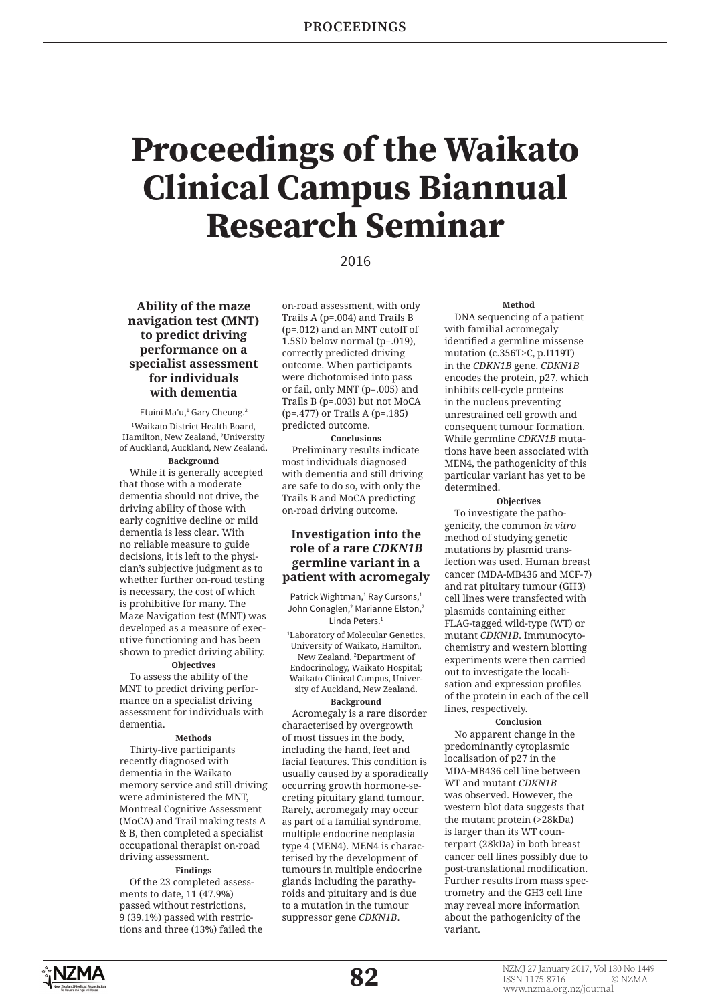# **Proceedings of the Waikato Clinical Campus Biannual Research Seminar**

# 2016

**Ability of the maze navigation test (MNT) to predict driving performance on a specialist assessment for individuals with dementia** 

Etuini Ma'u,<sup>1</sup> Gary Cheung.<sup>2</sup> 1 Waikato District Health Board, Hamilton, New Zealand, 2 University of Auckland, Auckland, New Zealand.

# **Background**

While it is generally accepted that those with a moderate dementia should not drive, the driving ability of those with early cognitive decline or mild dementia is less clear. With no reliable measure to guide decisions, it is left to the physician's subjective judgment as to whether further on-road testing is necessary, the cost of which is prohibitive for many. The Maze Navigation test (MNT) was developed as a measure of executive functioning and has been shown to predict driving ability.

#### **Objectives**

To assess the ability of the MNT to predict driving performance on a specialist driving assessment for individuals with dementia.

# **Methods**

Thirty-five participants recently diagnosed with dementia in the Waikato memory service and still driving were administered the MNT, Montreal Cognitive Assessment (MoCA) and Trail making tests A & B, then completed a specialist occupational therapist on-road driving assessment.

# **Findings**

Of the 23 completed assessments to date, 11 (47.9%) passed without restrictions, 9 (39.1%) passed with restrictions and three (13%) failed the on-road assessment, with only Trails A (p=.004) and Trails B (p=.012) and an MNT cutoff of 1.5SD below normal (p=.019), correctly predicted driving outcome. When participants were dichotomised into pass or fail, only MNT (p=.005) and Trails B (p=.003) but not MoCA (p=.477) or Trails A (p=.185) predicted outcome.

**Conclusions** Preliminary results indicate most individuals diagnosed with dementia and still driving are safe to do so, with only the Trails B and MoCA predicting on-road driving outcome.

# **Investigation into the role of a rare** *CDKN1B* **germline variant in a patient with acromegaly**

Patrick Wightman,<sup>1</sup> Ray Cursons,<sup>1</sup> John Conaglen,<sup>2</sup> Marianne Elston,<sup>2</sup> Linda Peters.<sup>1</sup>

1 Laboratory of Molecular Genetics, University of Waikato, Hamilton, New Zealand, 2 Department of Endocrinology, Waikato Hospital; Waikato Clinical Campus, University of Auckland, New Zealand.

## **Background**

Acromegaly is a rare disorder characterised by overgrowth of most tissues in the body, including the hand, feet and facial features. This condition is usually caused by a sporadically occurring growth hormone-secreting pituitary gland tumour. Rarely, acromegaly may occur as part of a familial syndrome, multiple endocrine neoplasia type 4 (MEN4). MEN4 is characterised by the development of tumours in multiple endocrine glands including the parathyroids and pituitary and is due to a mutation in the tumour suppressor gene *CDKN1B*.

## **Method**

DNA sequencing of a patient with familial acromegaly identified a germline missense mutation (c.356T>C, p.I119T) in the *CDKN1B* gene. *CDKN1B* encodes the protein, p27, which inhibits cell-cycle proteins in the nucleus preventing unrestrained cell growth and consequent tumour formation. While germline *CDKN1B* mutations have been associated with MEN4, the pathogenicity of this particular variant has yet to be determined.

**Objectives** To investigate the pathogenicity, the common *in vitro* method of studying genetic mutations by plasmid transfection was used. Human breast cancer (MDA-MB436 and MCF-7) and rat pituitary tumour (GH3) cell lines were transfected with plasmids containing either FLAG-tagged wild-type (WT) or mutant *CDKN1B*. Immunocytochemistry and western blotting experiments were then carried out to investigate the localisation and expression profiles of the protein in each of the cell lines, respectively.

# **Conclusion**

No apparent change in the predominantly cytoplasmic localisation of p27 in the MDA-MB436 cell line between WT and mutant *CDKN1B* was observed. However, the western blot data suggests that the mutant protein (>28kDa) is larger than its WT counterpart (28kDa) in both breast cancer cell lines possibly due to post-translational modification. Further results from mass spectrometry and the GH3 cell line may reveal more information about the pathogenicity of the variant.

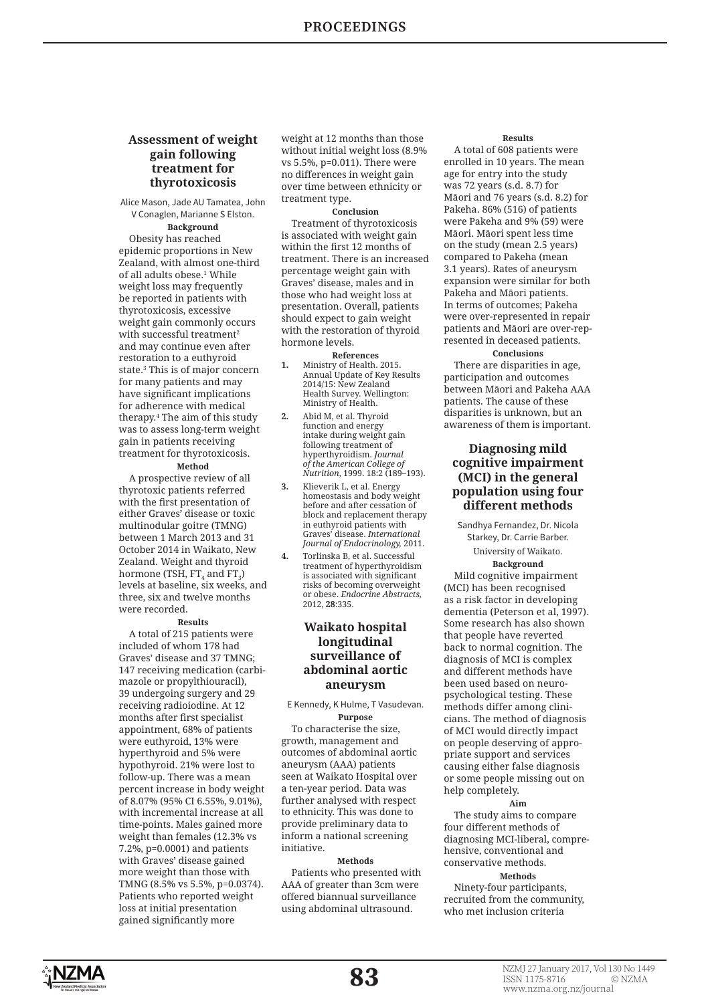# **Assessment of weight gain following treatment for thyrotoxicosis**

Alice Mason, Jade AU Tamatea, John V Conaglen, Marianne S Elston.

**Background**  Obesity has reached epidemic proportions in New Zealand, with almost one-third of all adults obese.1 While weight loss may frequently be reported in patients with thyrotoxicosis, excessive weight gain commonly occurs with successful treatment<sup>2</sup> and may continue even after restoration to a euthyroid state.3 This is of major concern for many patients and may have significant implications for adherence with medical therapy.4 The aim of this study was to assess long-term weight gain in patients receiving treatment for thyrotoxicosis.

# **Method**

A prospective review of all thyrotoxic patients referred with the first presentation of either Graves' disease or toxic multinodular goitre (TMNG) between 1 March 2013 and 31 October 2014 in Waikato, New Zealand. Weight and thyroid hormone (TSH, FT $_{\rm 4}$  and FT $_{\rm 3}$ ) levels at baseline, six weeks, and three, six and twelve months were recorded.

#### **Results**

A total of 215 patients were included of whom 178 had Graves' disease and 37 TMNG; 147 receiving medication (carbimazole or propylthiouracil), 39 undergoing surgery and 29 receiving radioiodine. At 12 months after first specialist appointment, 68% of patients were euthyroid, 13% were hyperthyroid and 5% were hypothyroid. 21% were lost to follow-up. There was a mean percent increase in body weight of 8.07% (95% CI 6.55%, 9.01%), with incremental increase at all time-points. Males gained more weight than females (12.3% vs 7.2%, p=0.0001) and patients with Graves' disease gained more weight than those with TMNG (8.5% vs 5.5%, p=0.0374). Patients who reported weight loss at initial presentation gained significantly more

weight at 12 months than those without initial weight loss (8.9% vs 5.5%, p=0.011). There were no differences in weight gain over time between ethnicity or treatment type.

#### **Conclusion**

Treatment of thyrotoxicosis is associated with weight gain within the first 12 months of treatment. There is an increased percentage weight gain with Graves' disease, males and in those who had weight loss at presentation. Overall, patients should expect to gain weight with the restoration of thyroid hormone levels.

#### **References**

- **1.** Ministry of Health. 2015. Annual Update of Key Results 2014/15: New Zealand Health Survey. Wellington: Ministry of Health.
- **2.** Abid M, et al. Thyroid function and energy intake during weight gain following treatment of hyperthyroidism*. Journal of the American College of Nutrition*, 1999. 18:2 (189–193).
- **3.** Klieverik L, et al. Energy homeostasis and body weight before and after cessation of block and replacement therapy in euthyroid patients with Graves' disease. *International Journal of Endocrinology,* 2011.
- **4.** Torlinska B, et al. Successful treatment of hyperthyroidism is associated with significant risks of becoming overweight or obese. *Endocrine Abstracts,*  2012, **28**:335.

# **Waikato hospital longitudinal surveillance of abdominal aortic aneurysm**

# E Kennedy, K Hulme, T Vasudevan. **Purpose**

To characterise the size, growth, management and outcomes of abdominal aortic aneurysm (AAA) patients seen at Waikato Hospital over a ten-year period. Data was further analysed with respect to ethnicity. This was done to provide preliminary data to inform a national screening initiative.

# **Methods**

Patients who presented with AAA of greater than 3cm were offered biannual surveillance using abdominal ultrasound.

## **Results**

A total of 608 patients were enrolled in 10 years. The mean age for entry into the study was 72 years (s.d. 8.7) for Māori and 76 years (s.d. 8.2) for Pakeha. 86% (516) of patients were Pakeha and 9% (59) were Māori. Māori spent less time on the study (mean 2.5 years) compared to Pakeha (mean 3.1 years). Rates of aneurysm expansion were similar for both Pakeha and Māori patients. In terms of outcomes; Pakeha were over-represented in repair patients and Māori are over-represented in deceased patients.

**Conclusions**  There are disparities in age, participation and outcomes between Māori and Pakeha AAA patients. The cause of these disparities is unknown, but an awareness of them is important.

# **Diagnosing mild cognitive impairment (MCI) in the general population using four different methods**

Sandhya Fernandez, Dr. Nicola Starkey, Dr. Carrie Barber. University of Waikato.

## **Background**

Mild cognitive impairment (MCI) has been recognised as a risk factor in developing dementia (Peterson et al, 1997). Some research has also shown that people have reverted back to normal cognition. The diagnosis of MCI is complex and different methods have been used based on neuropsychological testing. These methods differ among clinicians. The method of diagnosis of MCI would directly impact on people deserving of appropriate support and services causing either false diagnosis or some people missing out on help completely.

#### **Aim**

The study aims to compare four different methods of diagnosing MCI-liberal, comprehensive, conventional and conservative methods.

# **Methods**

Ninety-four participants, recruited from the community, who met inclusion criteria

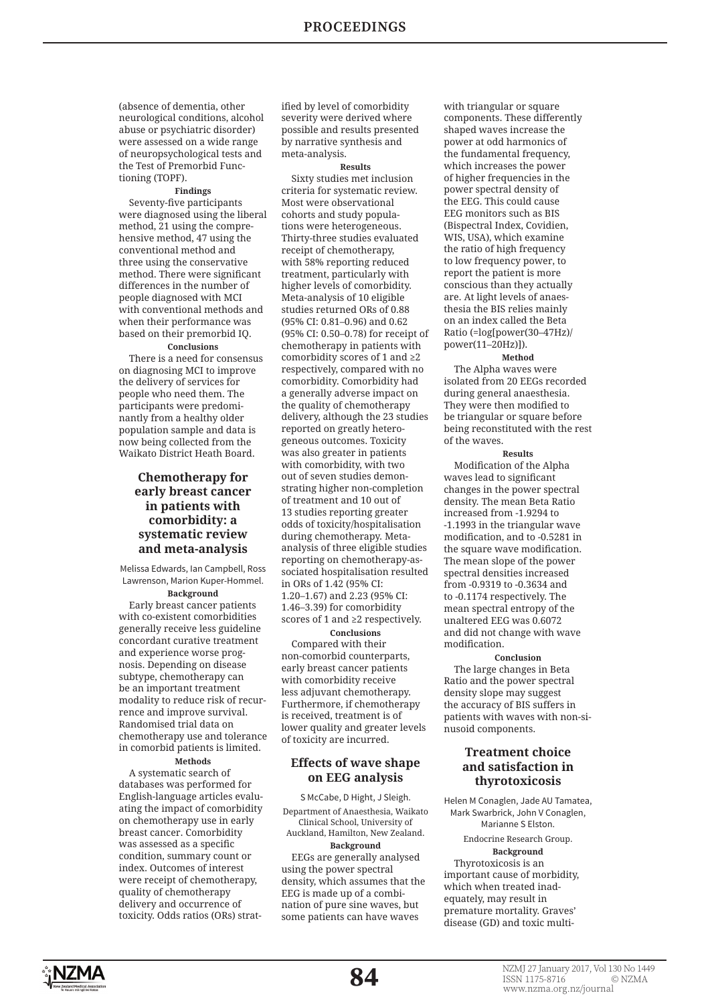(absence of dementia, other neurological conditions, alcohol abuse or psychiatric disorder) were assessed on a wide range of neuropsychological tests and the Test of Premorbid Functioning (TOPF).

# **Findings**

Seventy-five participants were diagnosed using the liberal method, 21 using the comprehensive method, 47 using the conventional method and three using the conservative method. There were significant differences in the number of people diagnosed with MCI with conventional methods and when their performance was based on their premorbid IQ.

# **Conclusions**

There is a need for consensus on diagnosing MCI to improve the delivery of services for people who need them. The participants were predominantly from a healthy older population sample and data is now being collected from the Waikato District Heath Board.

# **Chemotherapy for early breast cancer in patients with comorbidity: a systematic review and meta-analysis**

Melissa Edwards, Ian Campbell, Ross Lawrenson, Marion Kuper-Hommel.

**Background** Early breast cancer patients with co-existent comorbidities generally receive less guideline concordant curative treatment and experience worse prognosis. Depending on disease subtype, chemotherapy can be an important treatment modality to reduce risk of recurrence and improve survival. Randomised trial data on chemotherapy use and tolerance in comorbid patients is limited.

# **Methods**

A systematic search of databases was performed for English-language articles evaluating the impact of comorbidity on chemotherapy use in early breast cancer. Comorbidity was assessed as a specific condition, summary count or index. Outcomes of interest were receipt of chemotherapy. quality of chemotherapy delivery and occurrence of toxicity. Odds ratios (ORs) strat-

ified by level of comorbidity severity were derived where possible and results presented by narrative synthesis and meta-analysis.

## **Results**

Sixty studies met inclusion criteria for systematic review. Most were observational cohorts and study populations were heterogeneous. Thirty-three studies evaluated receipt of chemotherapy, with 58% reporting reduced treatment, particularly with higher levels of comorbidity. Meta-analysis of 10 eligible studies returned ORs of 0.88 (95% CI: 0.81–0.96) and 0.62 (95% CI: 0.50–0.78) for receipt of chemotherapy in patients with comorbidity scores of 1 and ≥2 respectively, compared with no comorbidity. Comorbidity had a generally adverse impact on the quality of chemotherapy delivery, although the 23 studies reported on greatly heterogeneous outcomes. Toxicity was also greater in patients with comorbidity, with two out of seven studies demonstrating higher non-completion of treatment and 10 out of 13 studies reporting greater odds of toxicity/hospitalisation during chemotherapy. Metaanalysis of three eligible studies reporting on chemotherapy-associated hospitalisation resulted in ORs of 1.42 (95% CI: 1.20–1.67) and 2.23 (95% CI: 1.46–3.39) for comorbidity scores of 1 and ≥2 respectively. **Conclusions**

Compared with their non-comorbid counterparts, early breast cancer patients with comorbidity receive less adjuvant chemotherapy. Furthermore, if chemotherapy is received, treatment is of lower quality and greater levels of toxicity are incurred.

# **Effects of wave shape on EEG analysis**

S McCabe, D Hight, J Sleigh. Department of Anaesthesia, Waikato Clinical School, University of Auckland, Hamilton, New Zealand. **Background**

EEGs are generally analysed using the power spectral density, which assumes that the EEG is made up of a combination of pure sine waves, but some patients can have waves

with triangular or square components. These differently shaped waves increase the power at odd harmonics of the fundamental frequency, which increases the power of higher frequencies in the power spectral density of the EEG. This could cause EEG monitors such as BIS (Bispectral Index, Covidien, WIS, USA), which examine the ratio of high frequency to low frequency power, to report the patient is more conscious than they actually are. At light levels of anaesthesia the BIS relies mainly on an index called the Beta Ratio (=log[power(30–47Hz)/ power(11–20Hz)]).

# **Method**

The Alpha waves were isolated from 20 EEGs recorded during general anaesthesia. They were then modified to be triangular or square before being reconstituted with the rest of the waves.

#### **Results**

Modification of the Alpha waves lead to significant changes in the power spectral density. The mean Beta Ratio increased from -1.9294 to -1.1993 in the triangular wave modifi cation, and to -0.5281 in the square wave modification. The mean slope of the power spectral densities increased from -0.9319 to -0.3634 and to -0.1174 respectively. The mean spectral entropy of the unaltered EEG was 0.6072 and did not change with wave modification

# **Conclusion**

The large changes in Beta Ratio and the power spectral density slope may suggest the accuracy of BIS suffers in patients with waves with non-sinusoid components.

# **Treatment choice and satisfaction in thyrotoxicosis**

Helen M Conaglen, Jade AU Tamatea, Mark Swarbrick, John V Conaglen, Marianne S Elston. Endocrine Research Group. **Background** Thyrotoxicosis is an important cause of morbidity, which when treated inadequately, may result in premature mortality. Graves' disease (GD) and toxic multi-

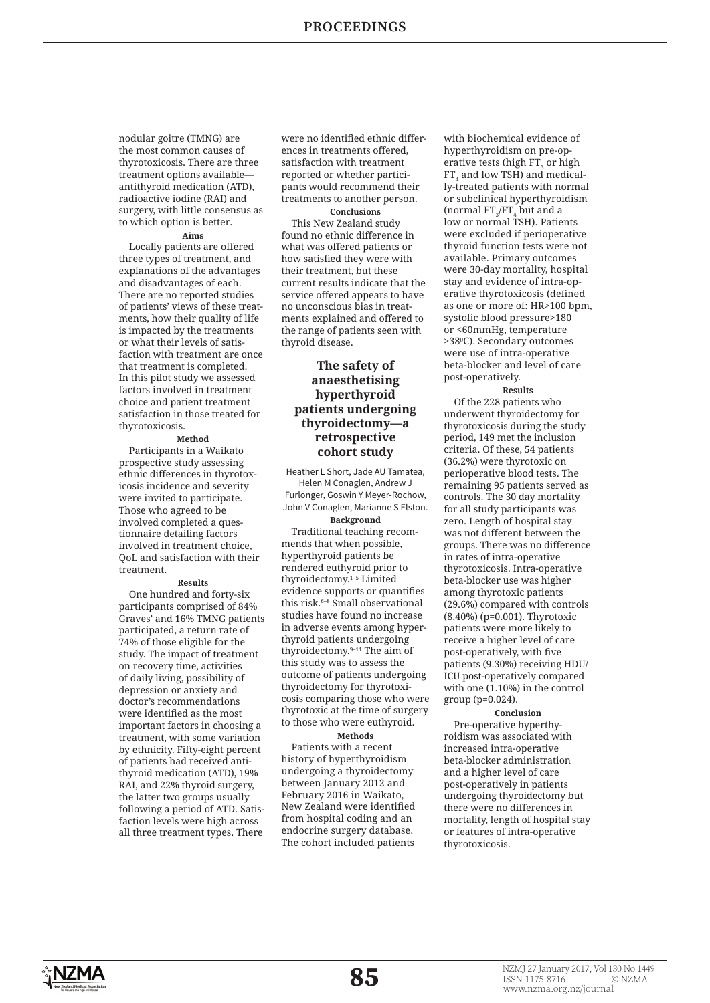nodular goitre (TMNG) are the most common causes of thyrotoxicosis. There are three treatment options available antithyroid medication (ATD), radioactive iodine (RAI) and surgery, with little consensus as to which option is better.

#### **Aims**

Locally patients are offered three types of treatment, and explanations of the advantages and disadvantages of each. There are no reported studies of patients' views of these treatments, how their quality of life is impacted by the treatments or what their levels of satisfaction with treatment are once that treatment is completed. In this pilot study we assessed factors involved in treatment choice and patient treatment satisfaction in those treated for thyrotoxicosis.

**Method** Participants in a Waikato prospective study assessing ethnic differences in thyrotoxicosis incidence and severity were invited to participate. Those who agreed to be involved completed a questionnaire detailing factors involved in treatment choice QoL and satisfaction with their treatment.

#### **Results**

One hundred and forty-six participants comprised of 84% Graves' and 16% TMNG patients participated, a return rate of 74% of those eligible for the study. The impact of treatment on recovery time, activities of daily living, possibility of depression or anxiety and doctor's recommendations were identified as the most important factors in choosing a treatment, with some variation by ethnicity. Fifty-eight percent of patients had received antithyroid medication (ATD), 19% RAI, and 22% thyroid surgery, the latter two groups usually following a period of ATD. Satisfaction levels were high across all three treatment types. There were no identified ethnic differences in treatments offered, satisfaction with treatment reported or whether participants would recommend their treatments to another person.

**Conclusions** This New Zealand study found no ethnic difference in what was offered patients or how satisfied they were with their treatment, but these current results indicate that the service offered appears to have no unconscious bias in treatments explained and offered to the range of patients seen with thyroid disease.

# **The safety of anaesthetising hyperthyroid patients undergoing thyroidectomy—a retrospective cohort study**

Heather L Short, Jade AU Tamatea, Helen M Conaglen, Andrew J Furlonger, Goswin Y Meyer-Rochow, John V Conaglen, Marianne S Elston.

**Background** Traditional teaching recommends that when possible, hyperthyroid patients be rendered euthyroid prior to thyroidectomy.1–5 Limited evidence supports or quantifies this risk.<sup>6-8</sup> Small observational studies have found no increase in adverse events among hyperthyroid patients undergoing thyroidectomy.9–11 The aim of this study was to assess the outcome of patients undergoing thyroidectomy for thyrotoxicosis comparing those who were thyrotoxic at the time of surgery to those who were euthyroid.

# **Methods**

Patients with a recent history of hyperthyroidism undergoing a thyroidectomy between January 2012 and February 2016 in Waikato, New Zealand were identified from hospital coding and an endocrine surgery database. The cohort included patients

with biochemical evidence of hyperthyroidism on pre-operative tests (high  $\mathsf{FT}_3^{}$  or high  $\mathop{\rm FT}\nolimits_4$  and  $\mathop{\rm low}$  TSH) and medically-treated patients with normal or subclinical hyperthyroidism (normal  $FT_{3}/FT_{4}$  but and a low or normal TSH). Patients were excluded if perioperative thyroid function tests were not available. Primary outcomes were 30-day mortality, hospital stay and evidence of intra-operative thyrotoxicosis (defined as one or more of: HR>100 bpm, systolic blood pressure>180 or <60mmHg, temperature >38⁰C). Secondary outcomes were use of intra-operative beta-blocker and level of care post-operatively.

#### **Results**

Of the 228 patients who underwent thyroidectomy for thyrotoxicosis during the study period, 149 met the inclusion criteria. Of these, 54 patients (36.2%) were thyrotoxic on perioperative blood tests. The remaining 95 patients served as controls. The 30 day mortality for all study participants was zero. Length of hospital stay was not different between the groups. There was no difference in rates of intra-operative thyrotoxicosis. Intra-operative beta-blocker use was higher among thyrotoxic patients (29.6%) compared with controls (8.40%) (p=0.001). Thyrotoxic patients were more likely to receive a higher level of care post-operatively, with five patients (9.30%) receiving HDU/ ICU post-operatively compared with one (1.10%) in the control group (p=0.024).

# **Conclusion**

Pre-operative hyperthyroidism was associated with increased intra-operative beta-blocker administration and a higher level of care post-operatively in patients undergoing thyroidectomy but there were no differences in mortality, length of hospital stay or features of intra-operative thyrotoxicosis.